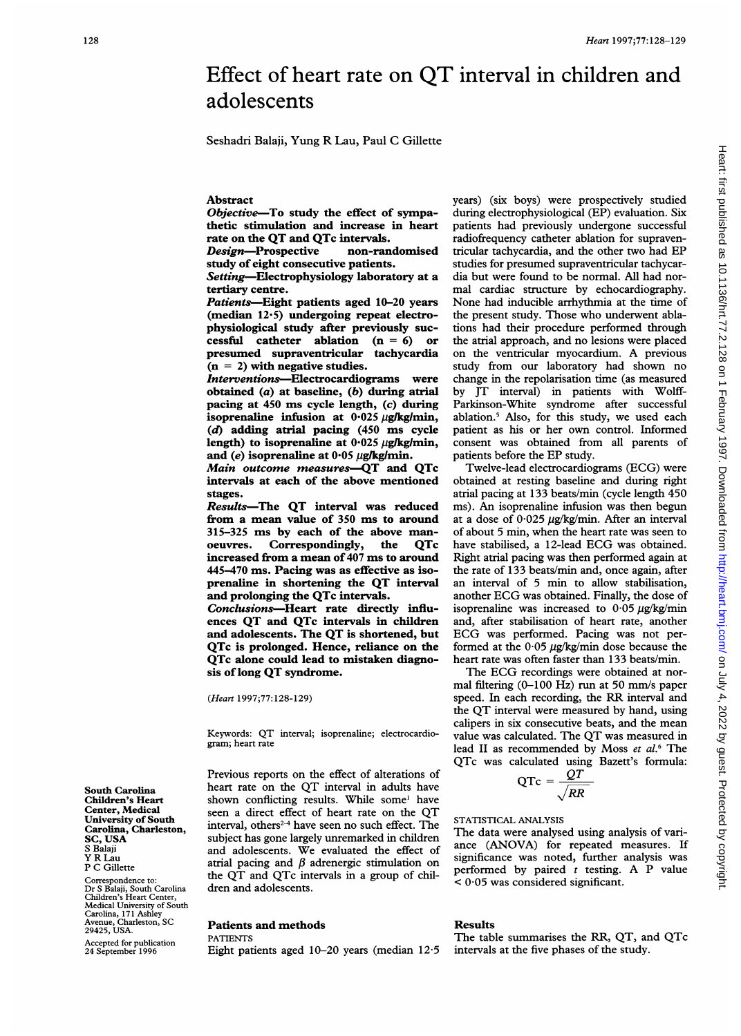# Effect of heart rate on QT interval in children and adolescents

Seshadri Balaji, Yung R Lau, Paul C Gillette

## Abstract

Objective-To study the effect of sympathetic stimulation and increase in heart rate on the QT and QTc intervals.<br>
Design—Prospective non-randomised

Design-Prospective study of eight consecutive patients.

Setting-Electrophysiology laboratory at a tertiary centre.

Patients-Eight patients aged 10-20 years (median 12.5) undergoing repeat electrophysiological study after previously successful catheter ablation  $(n = 6)$  or presumed supraventricular tachycardia  $(n = 2)$  with negative studies.

Interventions-Electrocardiograms were obtained  $(a)$  at baseline,  $(b)$  during atrial pacing at 450 ms cycle length, (c) during isoprenaline infusion at  $0.025 \mu g/kg/min$ , (d) adding atrial pacing (450 ms cycle length) to isoprenaline at  $0.025 \mu$ g/kg/min, and (e) isoprenaline at  $0.05 \mu$ g/kg/min.

Main outcome measures-QT and QTc intervals at each of the above mentioned stages.

Results-The QT interval was reduced from a mean value of 350 ms to around 315-325 ms by each of the above man-Correspondingly, the QTc increased from a mean of 407 ms to around 445-470 ms. Pacing was as effective as isoprenaline in shortening the QT interval and prolonging the QTc intervals.

Conclusions-Heart rate directly influences QT and QTc intervals in children and adolescents. The QT is shortened, but QTc is prolonged. Hence, reliance on the QTc alone could lead to mistaken diagnosis of long QT syndrome.

(Heart 1997;77:128-129)

Keywords: QT interval; isoprenaline; electrocardiogram; heart rate

Previous reports on the effect of alterations of heart rate on the QT interval in adults have shown conflicting results. While some' have seen <sup>a</sup> direct effect of heart rate on the QT interval, others<sup> $2-4$ </sup> have seen no such effect. The subject has gone largely unremarked in children and adolescents. We evaluated the effect of atrial pacing and  $\beta$  adrenergic stimulation on the QT and QTc intervals in <sup>a</sup> group of children and adolescents.

### Patients and methods

## PATIENTS

Eight patients aged 10-20 years (median 12-5

years) (six boys) were prospectively studied during electrophysiological (EP) evaluation. Six patients had previously undergone successful radiofrequency catheter ablation for supraventricular tachycardia, and the other two had EP studies for presumed supraventricular tachycardia but were found to be normal. All had normal cardiac structure by echocardiography. None had inducible arrhythmia at the time of the present study. Those who underwent ablations had their procedure performed through the atrial approach, and no lesions were placed on the ventricular myocardium. A previous study from our laboratory had shown no change in the repolarisation time (as measured by JT interval) in patients with Wolff-Parkinson-White syndrome after successful ablation.5 Also, for this study, we used each patient as his or her own control. Informed consent was obtained from all parents of patients before the EP study.

Twelve-lead electrocardiograms (ECG) were obtained at resting baseline and during right atrial pacing at 133 beats/min (cycle length 450 ms). An isoprenaline infusion was then begun at a dose of  $0.025 \mu g/kg/min$ . After an interval of about 5 min, when the heart rate was seen to have stabilised, <sup>a</sup> 12-lead ECG was obtained. Right atrial pacing was then performed again at the rate of 133 beats/min and, once again, after an interval of 5 min to allow stabilisation, another ECG was obtained. Finally, the dose of isoprenaline was increased to  $0.05 \mu g/kg/min$ and, after stabilisation of heart rate, another ECG was performed. Pacing was not performed at the  $0.05 \mu g/kg/min$  dose because the heart rate was often faster than 133 beats/min.

The ECG recordings were obtained at normal filtering (0-100 Hz) run at 50 mm/s paper speed. In each recording, the RR interval and the QT interval were measured by hand, using calipers in six consecutive beats, and the mean value was calculated. The QT was measured in lead II as recommended by Moss et al.<sup>6</sup> The QTc was calculated using Bazett's formula:

$$
QTc = \frac{QT}{\sqrt{RR}}
$$

STATISTICAL ANALYSIS

The data were analysed using analysis of variance (ANOVA) for repeated measures. If significance was noted, further analysis was performed by paired  $t$  testing. A P value < 0-05 was considered significant.

### Results

The table summarises the RR, QT, and QTc intervals at the five phases of the study.

South Carolina Children's Heart Center, Medical University of South Carolina, Charleston, SC, USA S Balaji Y R Lau P C Gillette

Correspondence to: Dr S Balaji, South Carolina Children's Heart Center, Medical University of South Carolina, 171 Ashley Avenue, Charleston, SC 29425, USA.

Accepted for publication 24 September 1996